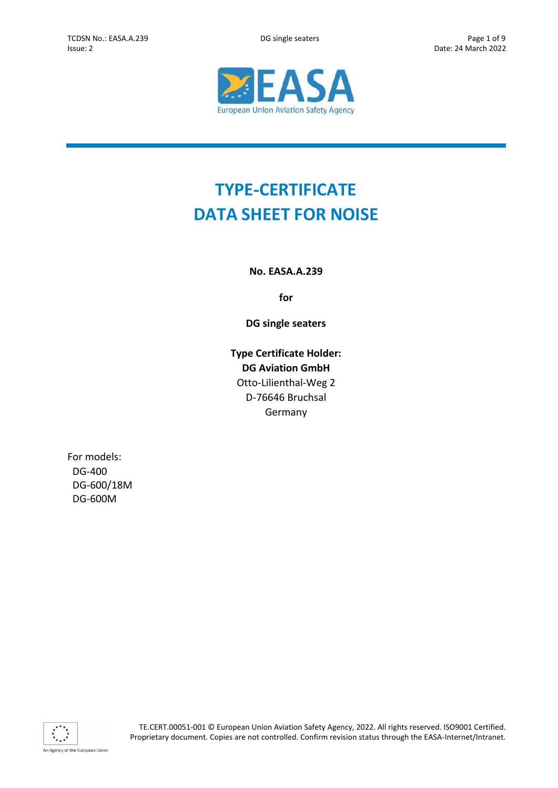

# **TYPE-CERTIFICATE DATA SHEET FOR NOISE**

**No. EASA.A.239**

**for**

**DG single seaters**

**Type Certificate Holder: DG Aviation GmbH** Otto-Lilienthal-Weg 2 D-76646 Bruchsal Germany

For models: DG-400 DG-600/18M DG-600M

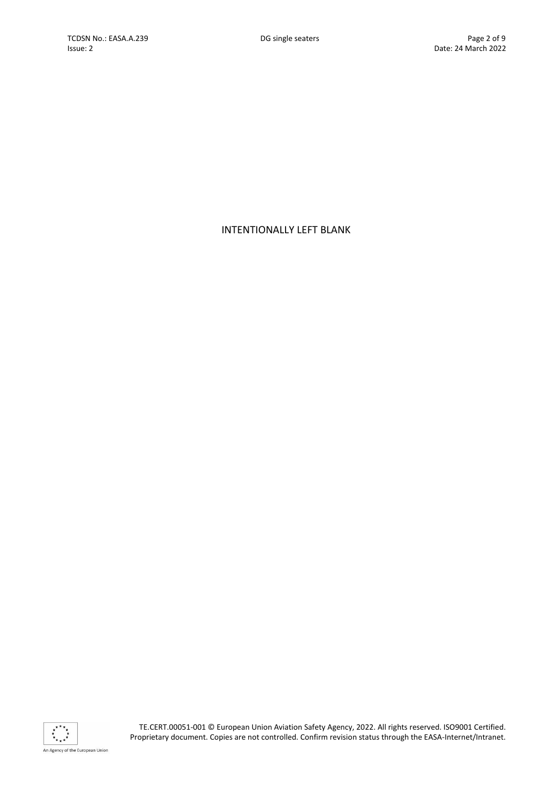## INTENTIONALLY LEFT BLANK

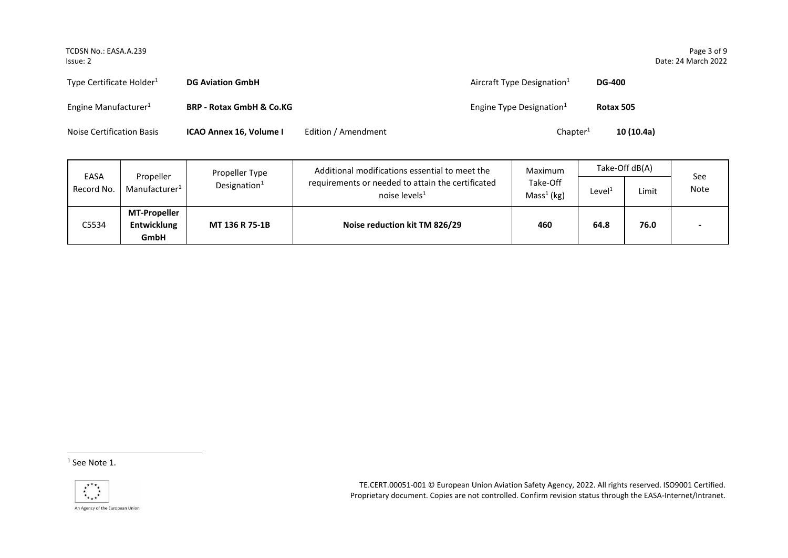| TCDSN No.: EASA.A.239<br>Issue: 2    |                                     |                     |                                        | Page 3 of 9<br>Date: 24 March 2022 |
|--------------------------------------|-------------------------------------|---------------------|----------------------------------------|------------------------------------|
| Type Certificate Holder <sup>1</sup> | <b>DG Aviation GmbH</b>             |                     | Aircraft Type Designation <sup>1</sup> | <b>DG-400</b>                      |
| Engine Manufacturer <sup>1</sup>     | <b>BRP - Rotax GmbH &amp; Co.KG</b> |                     | Engine Type Designation <sup>1</sup>   | Rotax 505                          |
| Noise Certification Basis            | <b>ICAO Annex 16, Volume I</b>      | Edition / Amendment | Chapter <sup>1</sup>                   | 10 (10.4a)                         |

| EASA       | Additional modifications essential to meet the<br>Propeller Type<br>Propeller |                 | Maximum                                                                        |     | Take-Off dB(A)     |       |             |
|------------|-------------------------------------------------------------------------------|-----------------|--------------------------------------------------------------------------------|-----|--------------------|-------|-------------|
| Record No. | Manufacturer <sup>1</sup>                                                     | Designation $1$ | requirements or needed to attain the certificated<br>noise levels <sup>1</sup> |     | Level <sup>1</sup> | Limit | See<br>Note |
| C5534      | <b>MT-Propeller</b><br><b>Entwicklung</b><br><b>GmbH</b>                      | MT 136 R 75-1B  | Noise reduction kit TM 826/29                                                  | 460 | 64.8               | 76.0  |             |

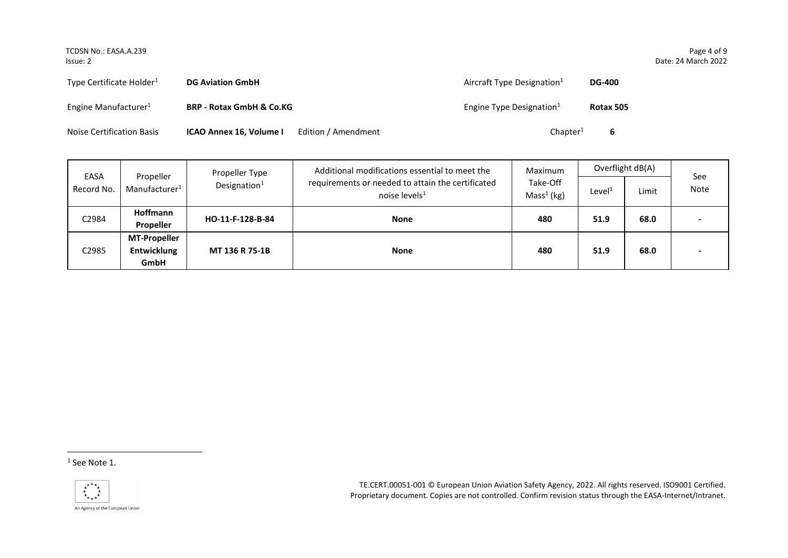| TCDSN No.: EASA.A.239<br>Issue: 2    |                                                |                                        | Page 4 of 9<br>Date: 24 March 2022 |
|--------------------------------------|------------------------------------------------|----------------------------------------|------------------------------------|
| Type Certificate Holder <sup>1</sup> | <b>DG Aviation GmbH</b>                        | Aircraft Type Designation <sup>1</sup> | <b>DG-400</b>                      |
| Engine Manufacturer <sup>1</sup>     | <b>BRP - Rotax GmbH &amp; Co.KG</b>            | Engine Type Designation <sup>1</sup>   | Rotax 505                          |
| Noise Certification Basis            | Edition / Amendment<br>ICAO Annex 16, Volume I | Chapter <sup>1</sup>                   | 6                                  |

| EASA       | Propeller                                                | Additional modifications essential to meet the<br>Propeller Type |                                                                                                          | <b>Maximum</b> | Overflight dB(A)   | See   |      |
|------------|----------------------------------------------------------|------------------------------------------------------------------|----------------------------------------------------------------------------------------------------------|----------------|--------------------|-------|------|
| Record No. | Manufacturer <sup>1</sup>                                | Designation $1$                                                  | requirements or needed to attain the certificated<br>Mass <sup>1</sup> (kg)<br>noise levels <sup>1</sup> |                | Level <sup>1</sup> | Limit | Note |
| C2984      | <b>Hoffmann</b><br>Propeller                             | HO-11-F-128-B-84                                                 | <b>None</b>                                                                                              | 480            | 51.9               | 68.0  |      |
| C2985      | <b>MT-Propeller</b><br><b>Entwicklung</b><br><b>GmbH</b> | MT 136 R 75-1B                                                   | <b>None</b>                                                                                              | 480            | 51.9               | 68.0  |      |

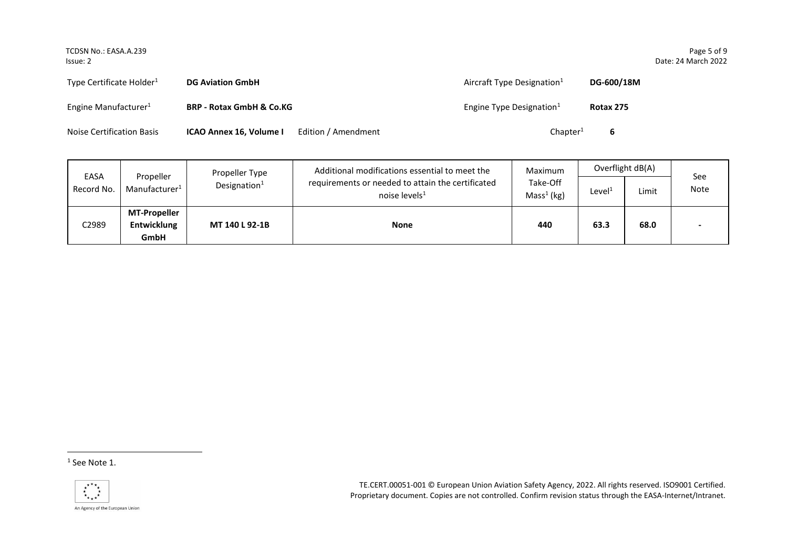| TCDSN No.: EASA.A.239<br>Issue: 2    |                                                |                                        | Page 5 of 9<br>Date: 24 March 2022 |
|--------------------------------------|------------------------------------------------|----------------------------------------|------------------------------------|
| Type Certificate Holder <sup>1</sup> | <b>DG Aviation GmbH</b>                        | Aircraft Type Designation <sup>1</sup> | DG-600/18M                         |
| Engine Manufacturer <sup>1</sup>     | <b>BRP - Rotax GmbH &amp; Co.KG</b>            | Engine Type Designation <sup>1</sup>   | Rotax 275                          |
| Noise Certification Basis            | Edition / Amendment<br>ICAO Annex 16, Volume I | Chapter <sup>1</sup>                   | 6                                  |

| <b>EASA</b> | Additional modifications essential to meet the<br>Propeller Type<br>Propeller |                 | Maximum                                                                        |     | Overflight dB(A)   | See   |      |
|-------------|-------------------------------------------------------------------------------|-----------------|--------------------------------------------------------------------------------|-----|--------------------|-------|------|
| Record No.  | Manufacturer <sup>1</sup>                                                     | Designation $1$ | requirements or needed to attain the certificated<br>noise levels <sup>1</sup> |     | Level <sup>1</sup> | Limit | Note |
| C2989       | <b>MT-Propeller</b><br><b>Entwicklung</b><br>GmbH                             | MT 140 L 92-1B  | None                                                                           | 440 | 63.3               | 68.0  |      |

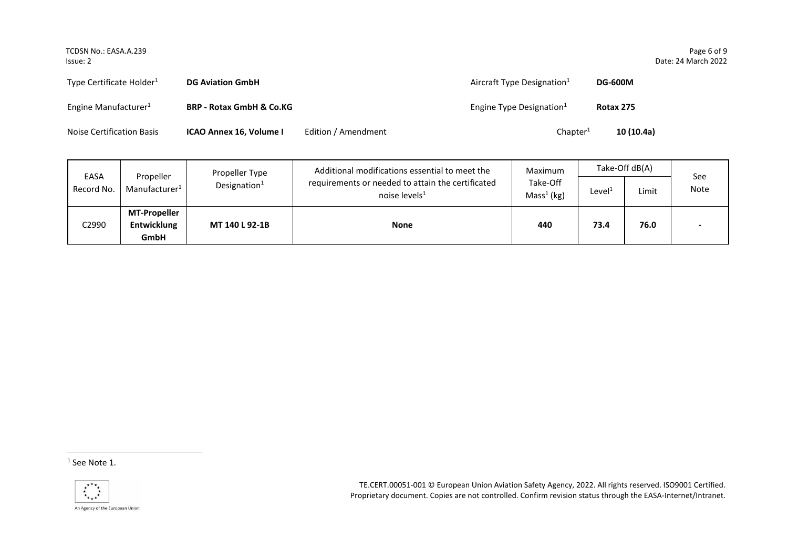| TCDSN No.: EASA.A.239<br>Issue: 2    |                                     |                     |                                        |                      | Page 6 of 9<br>Date: 24 March 2022 |
|--------------------------------------|-------------------------------------|---------------------|----------------------------------------|----------------------|------------------------------------|
| Type Certificate Holder <sup>1</sup> | <b>DG Aviation GmbH</b>             |                     | Aircraft Type Designation <sup>1</sup> |                      | <b>DG-600M</b>                     |
| Engine Manufacturer <sup>1</sup>     | <b>BRP - Rotax GmbH &amp; Co.KG</b> |                     | Engine Type Designation <sup>1</sup>   |                      | Rotax 275                          |
| Noise Certification Basis            | <b>ICAO Annex 16, Volume I</b>      | Edition / Amendment |                                        | Chapter <sup>1</sup> | 10 (10.4a)                         |

| <b>EASA</b> | Additional modifications essential to meet the<br>Propeller Type<br>Propeller |                 | Maximum                                                               |     | Take-Off dB(A)     | See   |      |
|-------------|-------------------------------------------------------------------------------|-----------------|-----------------------------------------------------------------------|-----|--------------------|-------|------|
| Record No.  | Manufacturer <sup>1</sup>                                                     | Designation $1$ | requirements or needed to attain the certificated<br>noise levels $1$ |     | Level <sup>1</sup> | Limit | Note |
| C2990       | <b>MT-Propeller</b><br>Entwicklung<br>GmbH                                    | MT 140 L 92-1B  | <b>None</b>                                                           | 440 | 73.4               | 76.0  |      |

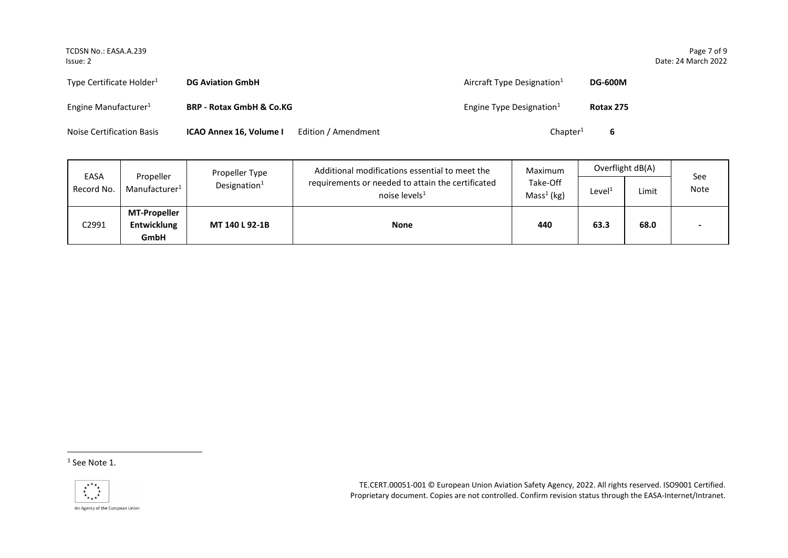| TCDSN No.: EASA.A.239<br>Issue: 2    |                                                |                                        | Page 7 of 9<br>Date: 24 March 2022 |
|--------------------------------------|------------------------------------------------|----------------------------------------|------------------------------------|
| Type Certificate Holder <sup>1</sup> | <b>DG Aviation GmbH</b>                        | Aircraft Type Designation <sup>1</sup> | <b>DG-600M</b>                     |
| Engine Manufacturer <sup>1</sup>     | <b>BRP - Rotax GmbH &amp; Co.KG</b>            | Engine Type Designation <sup>1</sup>   | Rotax 275                          |
| <b>Noise Certification Basis</b>     | Edition / Amendment<br>ICAO Annex 16, Volume I | Chapter <sup>1</sup>                   | 6                                  |

| <b>EASA</b> | Additional modifications essential to meet the<br>Propeller Type<br>Propeller |                 | Maximum                                                                        |     | Overflight dB(A)   | See   |      |
|-------------|-------------------------------------------------------------------------------|-----------------|--------------------------------------------------------------------------------|-----|--------------------|-------|------|
| Record No.  | Manufacturer <sup>1</sup>                                                     | Designation $1$ | requirements or needed to attain the certificated<br>noise levels <sup>1</sup> |     | Level <sup>1</sup> | Limit | Note |
| C2991       | <b>MT-Propeller</b><br><b>Entwicklung</b><br>GmbH                             | MT 140 L 92-1B  | <b>None</b>                                                                    | 440 | 63.3               | 68.0  |      |

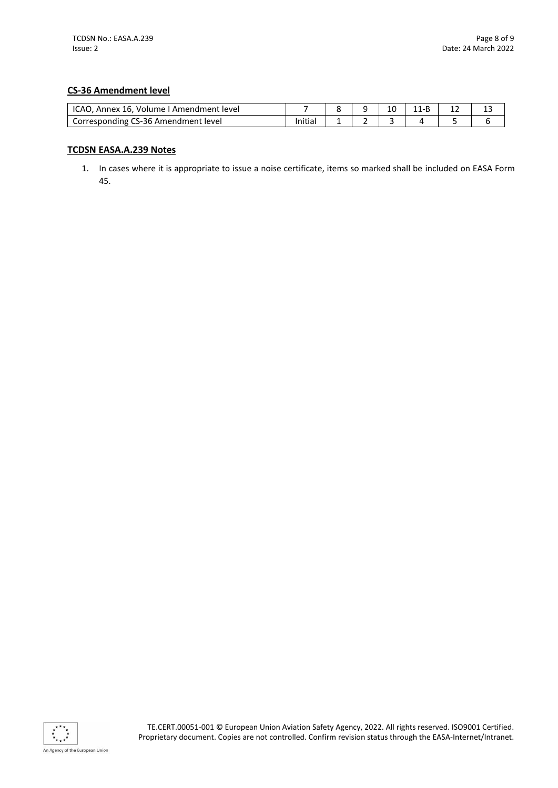#### **CS-36 Amendment level**

| ICAO.<br>I Amendment level<br>Annex<br>Volume I<br>Ίh         |            |   | ⊥∪ | -- | -- | -- |
|---------------------------------------------------------------|------------|---|----|----|----|----|
| $\sim$<br>level<br>$-$<br>:S-36 Amendment<br>responding<br>ັບ | .<br>THUID | - |    |    |    |    |

#### **TCDSN EASA.A.239 Notes**

1. In cases where it is appropriate to issue a noise certificate, items so marked shall be included on EASA Form 45.